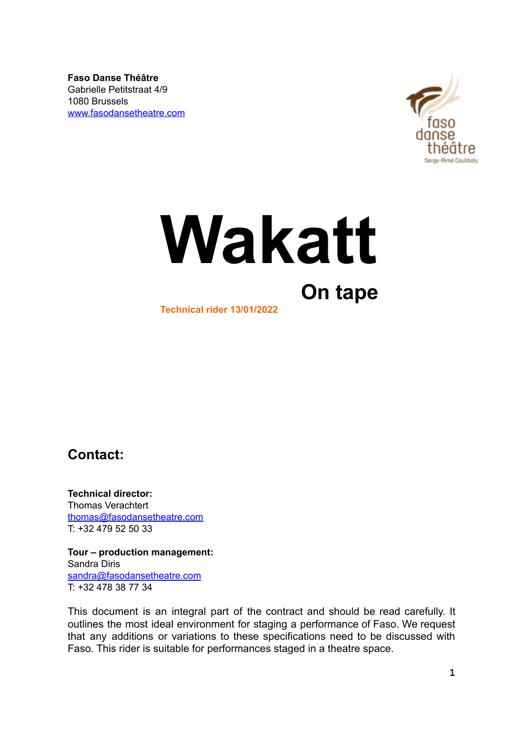**Faso Danse Théâtre** Gabrielle Petitstraat 4/9 1080 Brussels www.fasodansetheatre.com



# **Wakatt On tape Technical rider 13/01/2022**

<span id="page-0-0"></span>**Contact:**

**Technical director:** Thomas Verachtert thoma[s@fasodansetheatre.com](mailto:sandra@fasodansetheatre.com) T: +32 479 52 50 33

**Tour – production management:** Sandra Diris [sandra@fasodansetheatre.com](mailto:sandra@fasodansetheatre.com) T: +32 478 38 77 34

This document is an integral part of the contract and should be read carefully. It outlines the most ideal environment for staging a performance of Faso. We request that any additions or variations to these specifications need to be discussed with Faso. This rider is suitable for performances staged in a theatre space.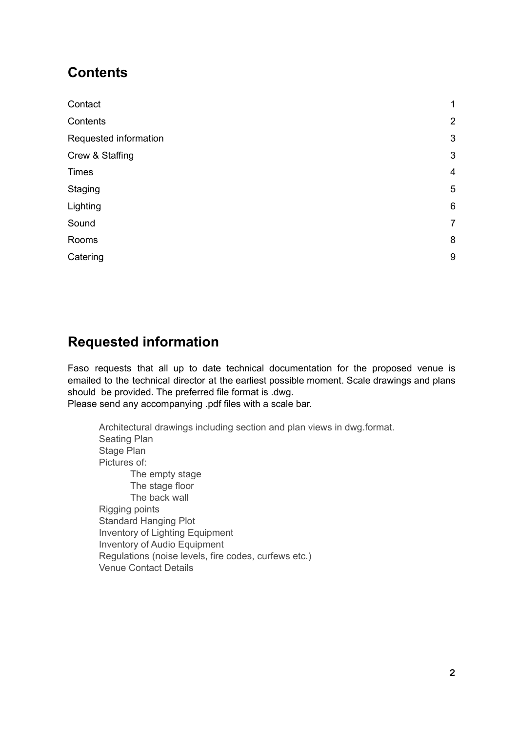# <span id="page-1-0"></span>**Contents**

| Contact               | $\mathbf{1}$    |
|-----------------------|-----------------|
| Contents              | $\overline{2}$  |
| Requested information | $\mathfrak{S}$  |
| Crew & Staffing       | $\mathfrak{S}$  |
| <b>Times</b>          | $\overline{4}$  |
| Staging               | $\overline{5}$  |
| Lighting              | $6\phantom{1}6$ |
| Sound                 | $\overline{7}$  |
| Rooms                 | 8               |
| Catering              | $9\,$           |

# **Requested information**

Faso requests that all up to date technical documentation for the proposed venue is emailed to the technical director at the earliest possible moment. Scale drawings and plans should be provided. The preferred file format is .dwg.

Please send any accompanying .pdf files with a scale bar.

Architectural drawings including section and plan views in dwg.format. Seating Plan Stage Plan Pictures of: The empty stage The stage floor The back wall Rigging points Standard Hanging Plot Inventory of Lighting Equipment Inventory of Audio Equipment Regulations (noise levels, fire codes, curfews etc.) Venue Contact Details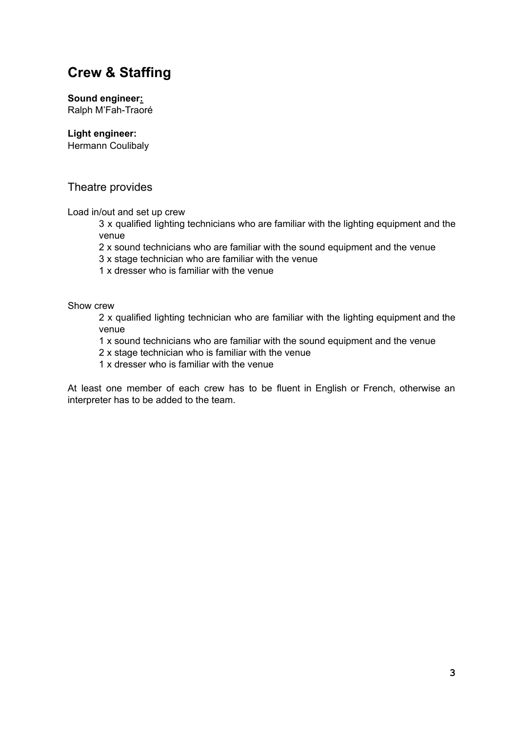# **Crew & Staffing**

**Sound engineer:** Ralph M'Fah-Traoré

**Light engineer:**

Hermann Coulibaly

# Theatre provides

Load in/out and set up crew

3 x qualified lighting technicians who are familiar with the lighting equipment and the venue

2 x sound technicians who are familiar with the sound equipment and the venue

3 x stage technician who are familiar with the venue

1 x dresser who is familiar with the venue

Show crew

2 x qualified lighting technician who are familiar with the lighting equipment and the venue

1 x sound technicians who are familiar with the sound equipment and the venue

2 x stage technician who is familiar with the venue

1 x dresser who is familiar with the venue

At least one member of each crew has to be fluent in English or French, otherwise an interpreter has to be added to the team.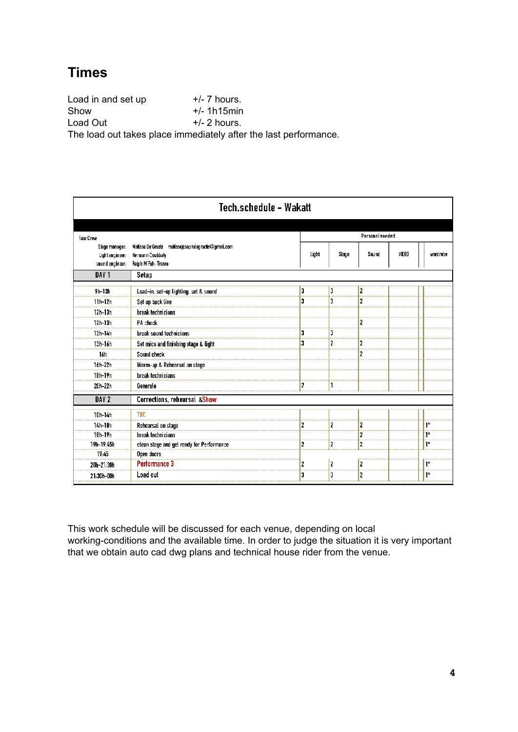# **Times**

Load in and set up  $+/- 7$  hours.  $\mathsf{Show}$   $+/-$  1h15min Load Out  $+/- 2$  hours. The load out takes place immediately after the last performance.

| Tech.schedule - Wakatt                              |                                                                                              |       |                 |                |       |          |  |
|-----------------------------------------------------|----------------------------------------------------------------------------------------------|-------|-----------------|----------------|-------|----------|--|
| faso Crew:                                          |                                                                                              |       | Personel needed |                |       |          |  |
| Stage manager:<br>Lightengineer:<br>sound engineer: | Matisse De Groote matissejosephdegroote@gmail.com<br>Hermann Coulibaly<br>Ralph M'Fah-Traore | Light | Stage           | Sound          | Y DFO | wardrobe |  |
| DAY <sub>1</sub>                                    | Setup                                                                                        |       |                 |                |       |          |  |
| $9h-13h$                                            | Load-in, set-up lighting, set & sound                                                        | 3     |                 | 2              |       |          |  |
| $11h-12h$                                           | Set up back line                                                                             | 3     | 3               | 2              |       |          |  |
| $12h-13h$                                           | break technicians                                                                            |       |                 |                |       |          |  |
| $12h-13h$                                           | PA check                                                                                     |       |                 |                |       |          |  |
| 13h-14h                                             | break sound technicians                                                                      | 3     | 3               |                |       |          |  |
| $13h-16h$                                           | Set mics and finishing stage & light                                                         | 3     | 2               | 2              |       |          |  |
| 16h                                                 | Sound check                                                                                  |       |                 | 2              |       |          |  |
| 16h-22h                                             | Warm-up & Rehearsal on stage                                                                 |       |                 |                |       |          |  |
| 18h-19h                                             | break technicians                                                                            |       |                 |                |       |          |  |
| 20h-22h                                             | Generale                                                                                     | 2     |                 |                |       |          |  |
| DAY <sub>2</sub>                                    | Corrections, rehearsal &Show                                                                 |       |                 |                |       |          |  |
| 10h-14h                                             | <b>TBC</b>                                                                                   |       |                 |                |       |          |  |
| 14h-18h                                             | Rehearsal on stage                                                                           | 2     | 2               | 2              |       | $1*$     |  |
| $10h-19h$                                           | break technicians                                                                            |       |                 | 2              |       | $1+$     |  |
| 19h-19:45h                                          | clean stage and get ready for Performance                                                    | 2     | ,               | 2              |       | $1*$     |  |
| 19.45                                               | Open doors                                                                                   |       |                 |                |       |          |  |
| 20h-21:30h                                          | Performance 3                                                                                | 2     | 2               | 2              |       | יו ∣     |  |
| 21:30h-00h                                          | Load out                                                                                     | 3     | 3               | $\overline{2}$ |       | $1*$     |  |

This work schedule will be discussed for each venue, depending on local working-conditions and the available time. In order to judge the situation it is very important that we obtain auto cad dwg plans and technical house rider from the venue.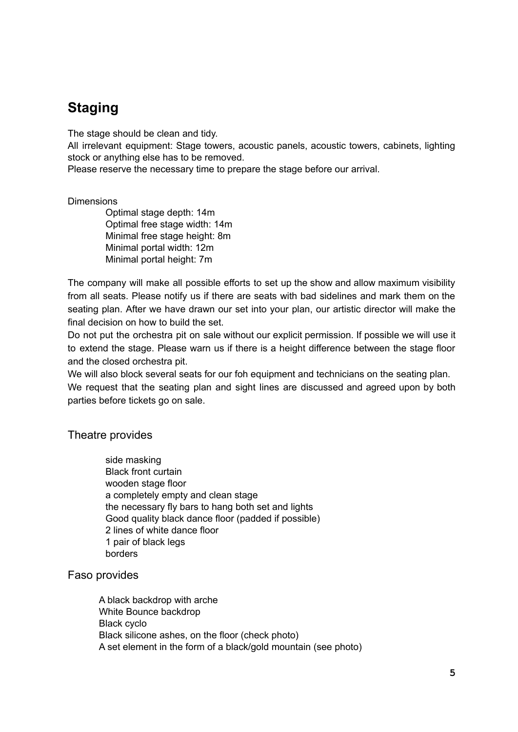# **Staging**

The stage should be clean and tidy.

All irrelevant equipment: Stage towers, acoustic panels, acoustic towers, cabinets, lighting stock or anything else has to be removed.

Please reserve the necessary time to prepare the stage before our arrival.

#### **Dimensions**

Optimal stage depth: 14m Optimal free stage width: 14m Minimal free stage height: 8m Minimal portal width: 12m Minimal portal height: 7m

The company will make all possible efforts to set up the show and allow maximum visibility from all seats. Please notify us if there are seats with bad sidelines and mark them on the seating plan. After we have drawn our set into your plan, our artistic director will make the final decision on how to build the set.

Do not put the orchestra pit on sale without our explicit permission. If possible we will use it to extend the stage. Please warn us if there is a height difference between the stage floor and the closed orchestra pit.

We will also block several seats for our foh equipment and technicians on the seating plan. We request that the seating plan and sight lines are discussed and agreed upon by both parties before tickets go on sale.

## Theatre provides

side masking Black front curtain wooden stage floor a completely empty and clean stage the necessary fly bars to hang both set and lights Good quality black dance floor (padded if possible) 2 lines of white dance floor 1 pair of black legs borders

## Faso provides

<span id="page-4-0"></span>A black backdrop with arche White Bounce backdrop Black cyclo Black silicone ashes, on the floor (check photo) A set element in the form of a black/gold mountain (see photo)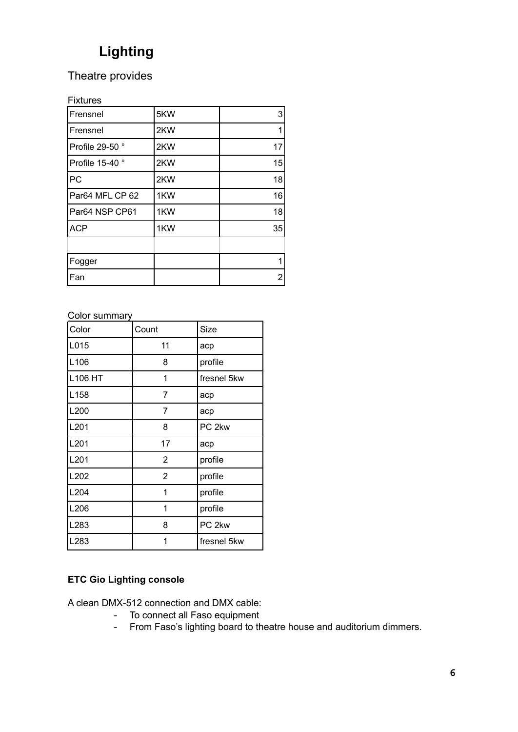# **Lighting**

# Theatre provides

# Fixtures

| Frensnel        | 5KW | 3              |
|-----------------|-----|----------------|
| Frensnel        | 2KW | 1              |
| Profile 29-50°  | 2KW | 17             |
| Profile 15-40 ° | 2KW | 15             |
| PC              | 2KW | 18             |
| Par64 MFL CP 62 | 1KW | 16             |
| Par64 NSP CP61  | 1KW | 18             |
| <b>ACP</b>      | 1KW | 35             |
|                 |     |                |
| Fogger          |     | 1              |
| Fan             |     | $\overline{2}$ |

# Color summary

| Color            | Count          | Size              |
|------------------|----------------|-------------------|
| L015             | 11             | acp               |
| L106             | 8              | profile           |
| <b>L106 HT</b>   | 1              | fresnel 5kw       |
| L158             | 7              | acp               |
| L <sub>200</sub> | 7              | acp               |
| L201             | 8              | PC <sub>2kw</sub> |
| L201             | 17             | acp               |
| L201             | $\overline{2}$ | profile           |
| L202             | $\overline{2}$ | profile           |
| L204             | 1              | profile           |
| L206             | 1              | profile           |
| L283             | 8              | PC <sub>2kw</sub> |
| L283             | 1              | fresnel 5kw       |

# **ETC Gio Lighting console**

A clean DMX-512 connection and DMX cable:

- To connect all Faso equipment
- From Faso's lighting board to theatre house and auditorium dimmers.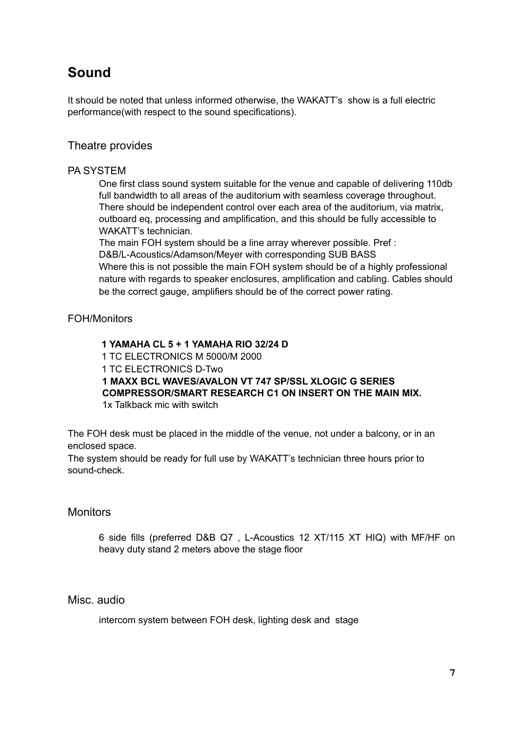# **Sound**

It should be noted that unless informed otherwise, the WAKATT's show is a full electric performance(with respect to the sound specifications).

# Theatre provides

### PA SYSTEM

One first class sound system suitable for the venue and capable of delivering 110db full bandwidth to all areas of the auditorium with seamless coverage throughout. There should be independent control over each area of the auditorium, via matrix, outboard eq, processing and amplification, and this should be fully accessible to WAKATT's technician.

The main FOH system should be a line array wherever possible. Pref : D&B/L-Acoustics/Adamson/Meyer with corresponding SUB BASS

Where this is not possible the main FOH system should be of a highly professional nature with regards to speaker enclosures, amplification and cabling. Cables should be the correct gauge, amplifiers should be of the correct power rating.

## FOH/Monitors

 **YAMAHA CL 5 + 1 YAMAHA RIO 32/24 D** TC ELECTRONICS M 5000/M 2000 TC ELECTRONICS D-Two **MAXX BCL WAVES/AVALON VT 747 SP/SSL XLOGIC G SERIES COMPRESSOR/SMART RESEARCH C1 ON INSERT ON THE MAIN MIX.** 1x Talkback mic with switch

The FOH desk must be placed in the middle of the venue, not under a balcony, or in an enclosed space.

The system should be ready for full use by WAKATT's technician three hours prior to sound-check.

## **Monitors**

6 side fills (preferred D&B Q7 , L-Acoustics 12 XT/115 XT HIQ) with MF/HF on heavy duty stand 2 meters above the stage floor

Misc. audio

intercom system between FOH desk, lighting desk and stage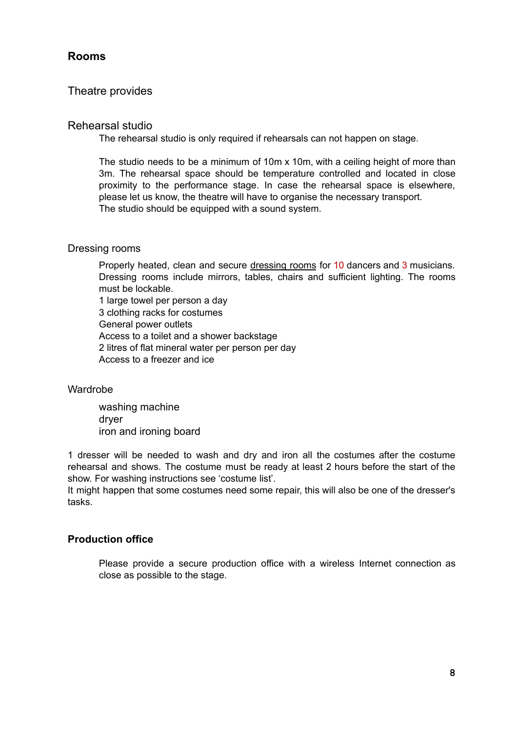# **Rooms**

# Theatre provides

### Rehearsal studio

The rehearsal studio is only required if rehearsals can not happen on stage.

The studio needs to be a minimum of 10m x 10m, with a ceiling height of more than 3m. The rehearsal space should be temperature controlled and located in close proximity to the performance stage. In case the rehearsal space is elsewhere, please let us know, the theatre will have to organise the necessary transport. The studio should be equipped with a sound system.

#### Dressing rooms

Properly heated, clean and secure dressing rooms for 10 dancers and 3 musicians. Dressing rooms include mirrors, tables, chairs and sufficient lighting. The rooms must be lockable.

1 large towel per person a day

3 clothing racks for costumes General power outlets

Access to a toilet and a shower backstage

2 litres of flat mineral water per person per day

Access to a freezer and ice

## Wardrobe

washing machine dryer iron and ironing board

1 dresser will be needed to wash and dry and iron all the costumes after the costume rehearsal and shows. The costume must be ready at least 2 hours before the start of the show. For washing instructions see 'costume list'.

It might happen that some costumes need some repair, this will also be one of the dresser's tasks.

## **Production office**

Please provide a secure production office with a wireless Internet connection as close as possible to the stage.